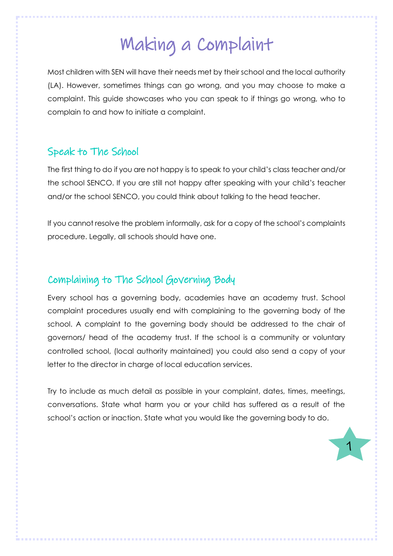# Making a Complaint

Most children with SEN will have their needs met by their school and the local authority (LA). However, sometimes things can go wrong, and you may choose to make a complaint. This guide showcases who you can speak to if things go wrong, who to complain to and how to initiate a complaint.

### Speak to The School

The first thing to do if you are not happy is to speak to your child's class teacher and/or the school SENCO. If you are still not happy after speaking with your child's teacher and/or the school SENCO, you could think about talking to the head teacher.

If you cannot resolve the problem informally, ask for a copy of the school's complaints procedure. Legally, all schools should have one.

## Complaining to The School Governing Body

Every school has a governing body, academies have an academy trust. School complaint procedures usually end with complaining to the governing body of the school. A complaint to the governing body should be addressed to the chair of governors/ head of the academy trust. If the school is a community or voluntary controlled school, (local authority maintained) you could also send a copy of your letter to the director in charge of local education services.

Try to include as much detail as possible in your complaint, dates, times, meetings, conversations. State what harm you or your child has suffered as a result of the school's action or inaction. State what you would like the governing body to do.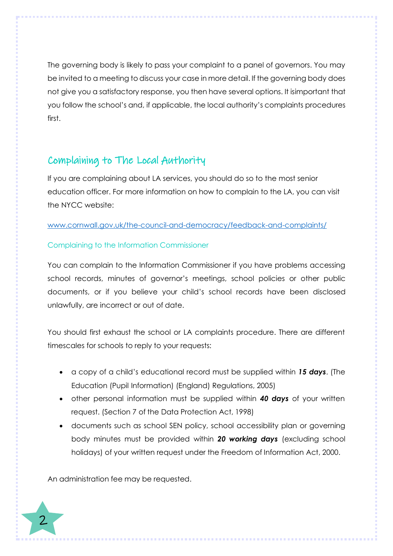The governing body is likely to pass your complaint to a panel of governors. You may be invited to a meeting to discuss your case in more detail. If the governing body does not give you a satisfactory response, you then have several options. It isimportant that you follow the school's and, if applicable, the local authority's complaints procedures first.

# Complaining to The Local Authority

If you are complaining about LA services, you should do so to the most senior education officer. For more information on how to complain to the LA, you can visit the NYCC website:

#### [www.cornwall.gov.uk/the-council-and-democracy/feedback-and-complaints/](http://www.cornwall.gov.uk/the-council-and-democracy/feedback-and-complaints/)

#### Complaining to the Information Commissioner

You can complain to the Information Commissioner if you have problems accessing school records, minutes of governor's meetings, school policies or other public documents, or if you believe your child's school records have been disclosed unlawfully, are incorrect or out of date.

You should first exhaust the school or LA complaints procedure. There are different timescales for schools to reply to your requests:

- a copy of a child's educational record must be supplied within *15 days*. (The Education (Pupil Information) (England) Regulations, 2005)
- other personal information must be supplied within *40 days* of your written request. (Section 7 of the Data Protection Act, 1998)
- documents such as school SEN policy, school accessibility plan or governing body minutes must be provided within *20 working days* (excluding school holidays) of your written request under the Freedom of Information Act, 2000.

An administration fee may be requested.

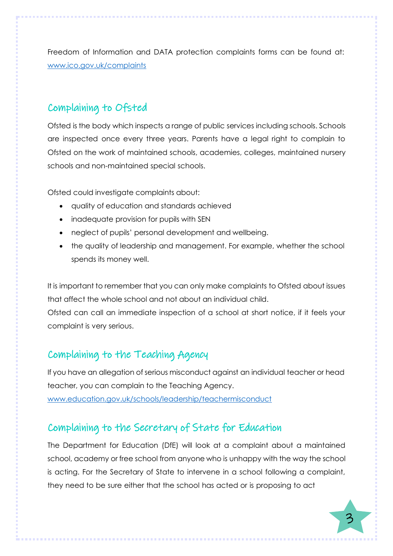Freedom of Information and DATA protection complaints forms can be found at: [www.ico.gov.uk/complaints](http://www.ico.gov.uk/complaints)

## Complaining to Ofsted

Ofsted is the body which inspects a range of public services including schools. Schools are inspected once every three years. Parents have a legal right to complain to Ofsted on the work of maintained schools, academies, colleges, maintained nursery schools and non-maintained special schools.

Ofsted could investigate complaints about:

- quality of education and standards achieved
- inadequate provision for pupils with SEN
- neglect of pupils' personal development and wellbeing.
- the quality of leadership and management. For example, whether the school spends its money well.

It is important to remember that you can only make complaints to Ofsted about issues that affect the whole school and not about an individual child.

Ofsted can call an immediate inspection of a school at short notice, if it feels your complaint is very serious.

## Complaining to the Teaching Agency

If you have an allegation of serious misconduct against an individual teacher or head teacher, you can complain to the Teaching Agency. [www.education.gov.uk/schools/leadership/teachermisconduct](http://www.education.gov.uk/schools/leadership/teachermisconduct)

# Complaining to the Secretary of State for Education

The Department for Education (DfE) will look at a complaint about a maintained school, academy or free school from anyone who is unhappy with the way the school is acting. For the Secretary of State to intervene in a school following a complaint, they need to be sure either that the school has acted or is proposing to act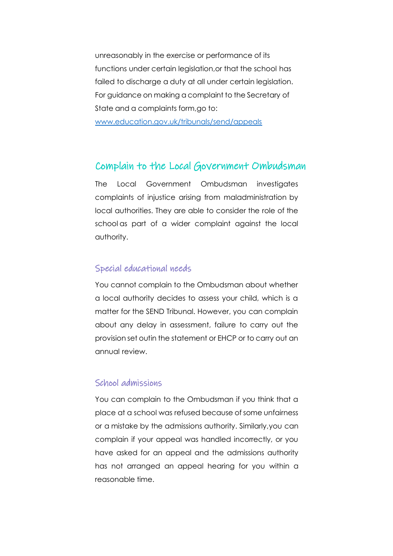unreasonably in the exercise or performance of its functions under certain legislation,or that the school has failed to discharge a duty at all under certain legislation. For guidance on making a complaint to the Secretary of State and a complaints form,go to:

[www.education.gov.uk/tribunals/send/appeals](http://www.education.gov.uk/tribunals/send/appeals)

#### Complain to the Local Government Ombudsman

The Local Government Ombudsman investigates complaints of injustice arising from maladministration by local authorities. They are able to consider the role of the school as part of a wider complaint against the local authority.

#### Special educational needs

You cannot complain to the Ombudsman about whether a local authority decides to assess your child, which is a matter for the SEND Tribunal. However, you can complain about any delay in assessment, failure to carry out the provision set outin the statement or EHCP or to carry out an annual review.

#### School admissions

You can complain to the Ombudsman if you think that a place at a school was refused because of some unfairness or a mistake by the admissions authority. Similarly,you can complain if your appeal was handled incorrectly, or you have asked for an appeal and the admissions authority has not arranged an appeal hearing for you within a reasonable time.